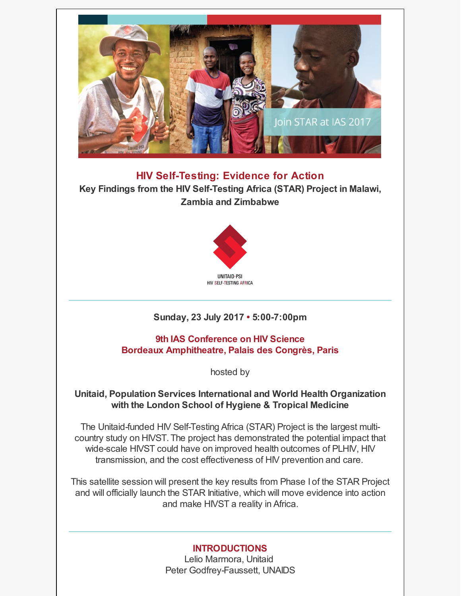

**HIV Self-Testing: Evidence for Action Key Findings from the HIV Self-Testing Africa (STAR) Project in Malawi, Zambia and Zimbabwe**



# **Sunday, 23 July 2017 • 5:00-7:00pm**

**9th IAS Conference on HIV Science Bordeaux Amphitheatre, Palais des Congrès, Paris**

hosted by

## **Unitaid, Population Services International and World Health Organization with the London School of Hygiene & Tropical Medicine**

The Unitaid-funded HIV Self-Testing Africa (STAR) Project is the largest multicountry study on HIVST. The project has demonstrated the potential impact that wide-scale HIVST could have on improved health outcomes of PLHIV, HIV transmission, and the cost effectiveness of HIV prevention and care.

This satellite session will present the key results from Phase I of the STAR Project and will officially launch the STAR Initiative, which will move evidence into action and make HIVST a reality in Africa.

## **INTRODUCTIONS**

Lelio Marmora, Unitaid Peter Godfrey-Faussett, UNAIDS